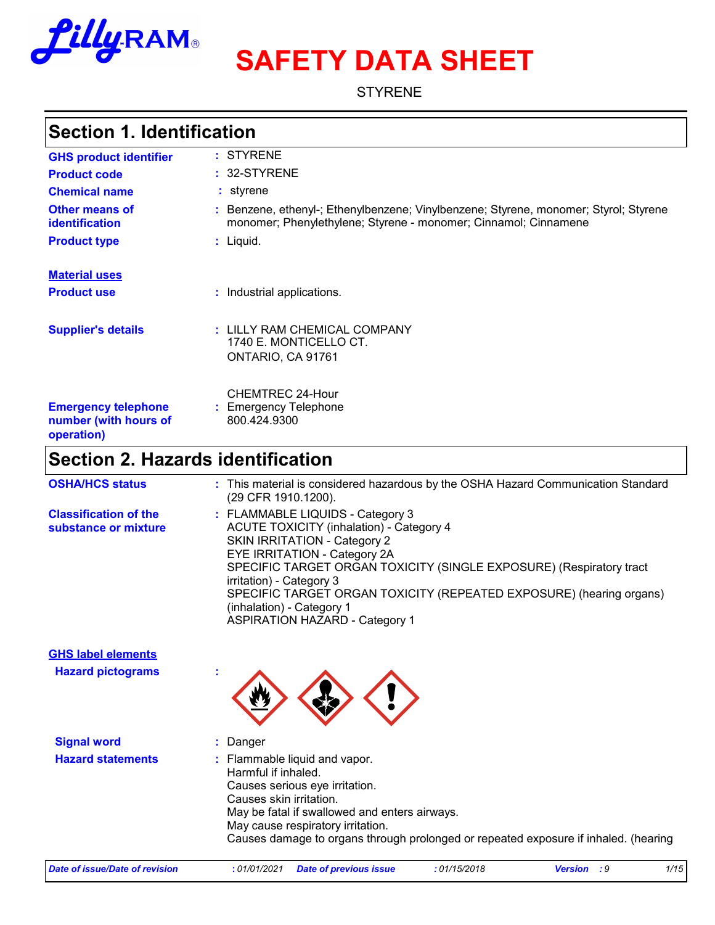

# **SAFETY DATA SHEET**

**STYRENE** 

### **Section 1. Identification**

| <b>GHS product identifier</b>                                     | : STYRENE                                                                                                                                               |
|-------------------------------------------------------------------|---------------------------------------------------------------------------------------------------------------------------------------------------------|
| <b>Product code</b>                                               | $: 32-STYRENE$                                                                                                                                          |
| <b>Chemical name</b>                                              | : styrene                                                                                                                                               |
| Other means of<br><b>identification</b>                           | : Benzene, ethenyl-; Ethenylbenzene; Vinylbenzene; Styrene, monomer; Styrol; Styrene<br>monomer; Phenylethylene; Styrene - monomer; Cinnamol; Cinnamene |
| <b>Product type</b>                                               | $:$ Liquid.                                                                                                                                             |
| <b>Material uses</b>                                              |                                                                                                                                                         |
| <b>Product use</b>                                                | : Industrial applications.                                                                                                                              |
| <b>Supplier's details</b>                                         | : LILLY RAM CHEMICAL COMPANY<br>1740 E. MONTICELLO CT.<br>ONTARIO, CA 91761                                                                             |
| <b>Emergency telephone</b><br>number (with hours of<br>operation) | CHEMTREC 24-Hour<br><b>Emergency Telephone</b><br>800.424.9300                                                                                          |

# **Section 2. Hazards identification**

| <b>OSHA/HCS status</b>                               | : This material is considered hazardous by the OSHA Hazard Communication Standard<br>(29 CFR 1910.1200).                                                                                                                                                                                                                                                                                                   |
|------------------------------------------------------|------------------------------------------------------------------------------------------------------------------------------------------------------------------------------------------------------------------------------------------------------------------------------------------------------------------------------------------------------------------------------------------------------------|
| <b>Classification of the</b><br>substance or mixture | : FLAMMABLE LIQUIDS - Category 3<br><b>ACUTE TOXICITY (inhalation) - Category 4</b><br>SKIN IRRITATION - Category 2<br><b>EYE IRRITATION - Category 2A</b><br>SPECIFIC TARGET ORGAN TOXICITY (SINGLE EXPOSURE) (Respiratory tract<br>irritation) - Category 3<br>SPECIFIC TARGET ORGAN TOXICITY (REPEATED EXPOSURE) (hearing organs)<br>(inhalation) - Category 1<br><b>ASPIRATION HAZARD - Category 1</b> |
| <b>GHS label elements</b>                            |                                                                                                                                                                                                                                                                                                                                                                                                            |
| <b>Hazard pictograms</b>                             |                                                                                                                                                                                                                                                                                                                                                                                                            |
| <b>Signal word</b>                                   | : Danger                                                                                                                                                                                                                                                                                                                                                                                                   |
| <b>Hazard statements</b>                             | : Flammable liquid and vapor.<br>المتحلح والمتاركة البكاء ومستحالا                                                                                                                                                                                                                                                                                                                                         |

Harmful if inhaled. Causes serious eye irritation. Causes skin irritation. May be fatal if swallowed and enters airways. May cause respiratory irritation. Causes damage to organs through prolonged or repeated exposure if inhaled. (hearing

| Date of issue/Date of revision | : 01/01/2021 | <b>Date of previous issue</b> | 01/15/2018 | Version<br>. 0<br>- - - | 1/15 |
|--------------------------------|--------------|-------------------------------|------------|-------------------------|------|
|                                |              |                               |            |                         |      |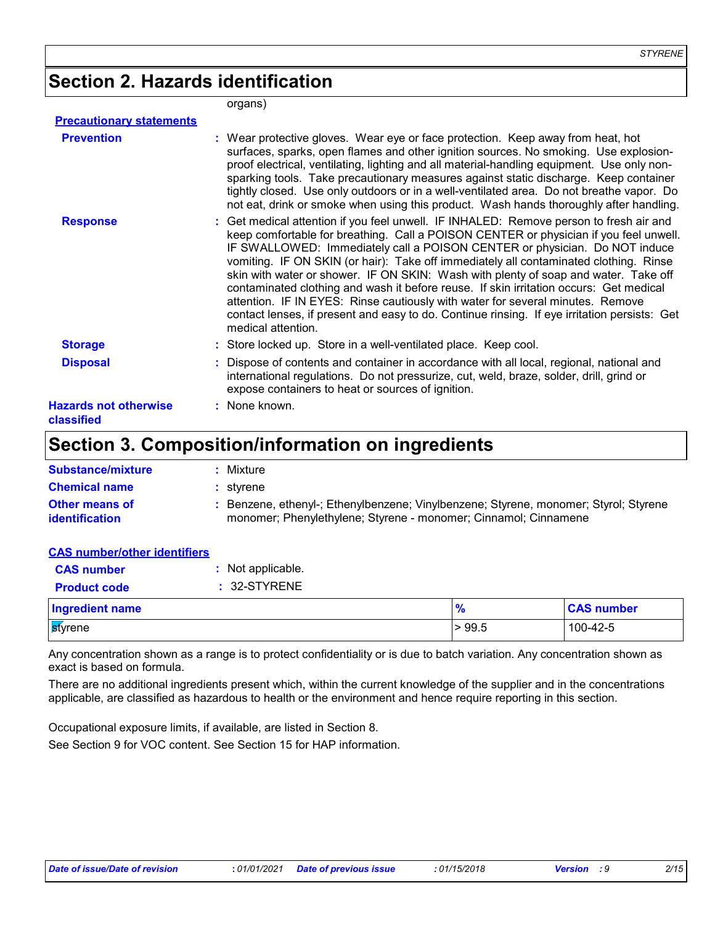# **Section 2. Hazards identification**

#### organs)

| <b>Precautionary statements</b>            |                                                                                                                                                                                                                                                                                                                                                                                                                                                                                                                                                                                                                                                                                                                                                 |
|--------------------------------------------|-------------------------------------------------------------------------------------------------------------------------------------------------------------------------------------------------------------------------------------------------------------------------------------------------------------------------------------------------------------------------------------------------------------------------------------------------------------------------------------------------------------------------------------------------------------------------------------------------------------------------------------------------------------------------------------------------------------------------------------------------|
| <b>Prevention</b>                          | : Wear protective gloves. Wear eye or face protection. Keep away from heat, hot<br>surfaces, sparks, open flames and other ignition sources. No smoking. Use explosion-<br>proof electrical, ventilating, lighting and all material-handling equipment. Use only non-<br>sparking tools. Take precautionary measures against static discharge. Keep container<br>tightly closed. Use only outdoors or in a well-ventilated area. Do not breathe vapor. Do<br>not eat, drink or smoke when using this product. Wash hands thoroughly after handling.                                                                                                                                                                                             |
| <b>Response</b>                            | : Get medical attention if you feel unwell. IF INHALED: Remove person to fresh air and<br>keep comfortable for breathing. Call a POISON CENTER or physician if you feel unwell.<br>IF SWALLOWED: Immediately call a POISON CENTER or physician. Do NOT induce<br>vomiting. IF ON SKIN (or hair): Take off immediately all contaminated clothing. Rinse<br>skin with water or shower. IF ON SKIN: Wash with plenty of soap and water. Take off<br>contaminated clothing and wash it before reuse. If skin irritation occurs: Get medical<br>attention. IF IN EYES: Rinse cautiously with water for several minutes. Remove<br>contact lenses, if present and easy to do. Continue rinsing. If eye irritation persists: Get<br>medical attention. |
| <b>Storage</b>                             | : Store locked up. Store in a well-ventilated place. Keep cool.                                                                                                                                                                                                                                                                                                                                                                                                                                                                                                                                                                                                                                                                                 |
| <b>Disposal</b>                            | : Dispose of contents and container in accordance with all local, regional, national and<br>international regulations. Do not pressurize, cut, weld, braze, solder, drill, grind or<br>expose containers to heat or sources of ignition.                                                                                                                                                                                                                                                                                                                                                                                                                                                                                                        |
| <b>Hazards not otherwise</b><br>classified | : None known.                                                                                                                                                                                                                                                                                                                                                                                                                                                                                                                                                                                                                                                                                                                                   |

### **Section 3. Composition/information on ingredients**

| <b>Substance/mixture</b>                       | Mixture                                                                                                                                               |
|------------------------------------------------|-------------------------------------------------------------------------------------------------------------------------------------------------------|
| <b>Chemical name</b>                           | : stvrene                                                                                                                                             |
| <b>Other means of</b><br><b>identification</b> | Benzene, ethenyl-; Ethenylbenzene; Vinylbenzene; Styrene, monomer; Styrol; Styrene<br>monomer; Phenylethylene; Styrene - monomer; Cinnamol; Cinnamene |

#### **CAS number/other identifiers**

| <b>CAS HUILDEDOCHER RETRITERS</b> |                   |               |                   |
|-----------------------------------|-------------------|---------------|-------------------|
| <b>CAS number</b>                 | : Not applicable. |               |                   |
| <b>Product code</b>               | : 32-STYRENE      |               |                   |
| <b>Ingredient name</b>            |                   | $\frac{9}{6}$ | <b>CAS number</b> |
| styrene                           |                   | > 99.5        | 100-42-5          |
|                                   |                   |               |                   |

Any concentration shown as a range is to protect confidentiality or is due to batch variation. Any concentration shown as exact is based on formula.

There are no additional ingredients present which, within the current knowledge of the supplier and in the concentrations applicable, are classified as hazardous to health or the environment and hence require reporting in this section.

Occupational exposure limits, if available, are listed in Section 8.

See Section 9 for VOC content. See Section 15 for HAP information.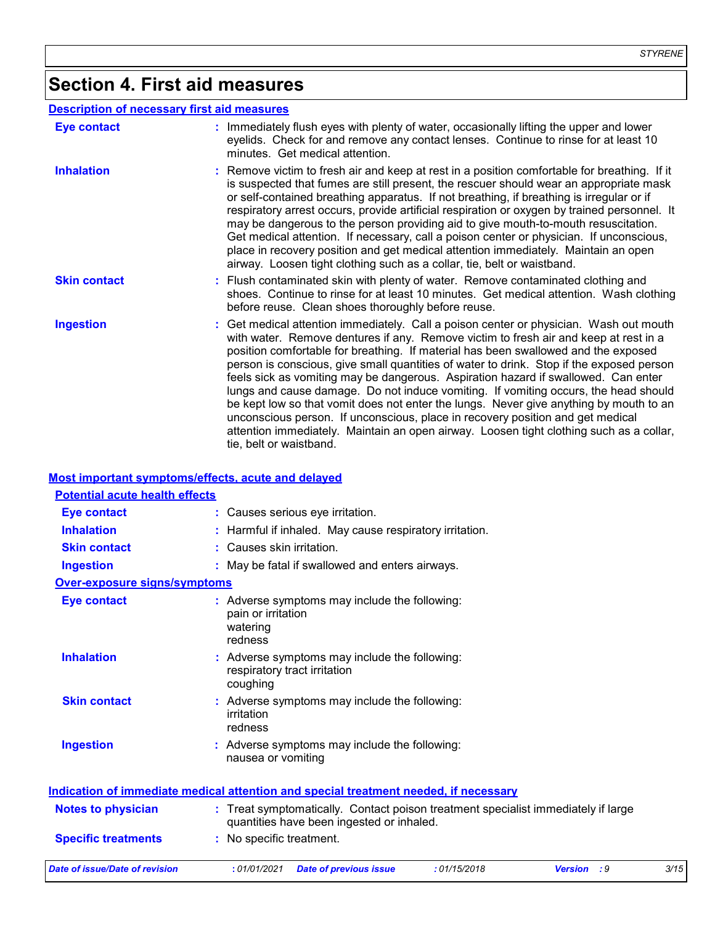# **Section 4. First aid measures**

|                     | <b>Description of necessary first aid measures</b>                                                                                                                                                                                                                                                                                                                                                                                                                                                                                                                                                                                                                                                                                                                                                                                              |
|---------------------|-------------------------------------------------------------------------------------------------------------------------------------------------------------------------------------------------------------------------------------------------------------------------------------------------------------------------------------------------------------------------------------------------------------------------------------------------------------------------------------------------------------------------------------------------------------------------------------------------------------------------------------------------------------------------------------------------------------------------------------------------------------------------------------------------------------------------------------------------|
| Eye contact         | : Immediately flush eyes with plenty of water, occasionally lifting the upper and lower<br>eyelids. Check for and remove any contact lenses. Continue to rinse for at least 10<br>minutes. Get medical attention.                                                                                                                                                                                                                                                                                                                                                                                                                                                                                                                                                                                                                               |
| <b>Inhalation</b>   | : Remove victim to fresh air and keep at rest in a position comfortable for breathing. If it<br>is suspected that fumes are still present, the rescuer should wear an appropriate mask<br>or self-contained breathing apparatus. If not breathing, if breathing is irregular or if<br>respiratory arrest occurs, provide artificial respiration or oxygen by trained personnel. It<br>may be dangerous to the person providing aid to give mouth-to-mouth resuscitation.<br>Get medical attention. If necessary, call a poison center or physician. If unconscious,<br>place in recovery position and get medical attention immediately. Maintain an open<br>airway. Loosen tight clothing such as a collar, tie, belt or waistband.                                                                                                            |
| <b>Skin contact</b> | : Flush contaminated skin with plenty of water. Remove contaminated clothing and<br>shoes. Continue to rinse for at least 10 minutes. Get medical attention. Wash clothing<br>before reuse. Clean shoes thoroughly before reuse.                                                                                                                                                                                                                                                                                                                                                                                                                                                                                                                                                                                                                |
| <b>Ingestion</b>    | : Get medical attention immediately. Call a poison center or physician. Wash out mouth<br>with water. Remove dentures if any. Remove victim to fresh air and keep at rest in a<br>position comfortable for breathing. If material has been swallowed and the exposed<br>person is conscious, give small quantities of water to drink. Stop if the exposed person<br>feels sick as vomiting may be dangerous. Aspiration hazard if swallowed. Can enter<br>lungs and cause damage. Do not induce vomiting. If vomiting occurs, the head should<br>be kept low so that vomit does not enter the lungs. Never give anything by mouth to an<br>unconscious person. If unconscious, place in recovery position and get medical<br>attention immediately. Maintain an open airway. Loosen tight clothing such as a collar,<br>tie, belt or waistband. |

#### **Most important symptoms/effects, acute and delayed**

| <b>Potential acute health effects</b> |                                                                                                                                |      |
|---------------------------------------|--------------------------------------------------------------------------------------------------------------------------------|------|
| <b>Eye contact</b>                    | : Causes serious eye irritation.                                                                                               |      |
| <b>Inhalation</b>                     | : Harmful if inhaled. May cause respiratory irritation.                                                                        |      |
| <b>Skin contact</b>                   | : Causes skin irritation.                                                                                                      |      |
| <b>Ingestion</b>                      | : May be fatal if swallowed and enters airways.                                                                                |      |
| <b>Over-exposure signs/symptoms</b>   |                                                                                                                                |      |
| <b>Eye contact</b>                    | : Adverse symptoms may include the following:<br>pain or irritation<br>watering<br>redness                                     |      |
| <b>Inhalation</b>                     | : Adverse symptoms may include the following:<br>respiratory tract irritation<br>coughing                                      |      |
| <b>Skin contact</b>                   | Adverse symptoms may include the following:<br>irritation<br>redness                                                           |      |
| <b>Ingestion</b>                      | : Adverse symptoms may include the following:<br>nausea or vomiting                                                            |      |
|                                       | <u>Indication of immediate medical attention and special treatment needed, if necessary</u>                                    |      |
| <b>Notes to physician</b>             | : Treat symptomatically. Contact poison treatment specialist immediately if large<br>quantities have been ingested or inhaled. |      |
| <b>Specific treatments</b>            | : No specific treatment.                                                                                                       |      |
| Date of issue/Date of revision        | :01/01/2021<br><b>Date of previous issue</b><br>:01/15/2018<br>: 9<br><b>Version</b>                                           | 3/15 |
|                                       |                                                                                                                                |      |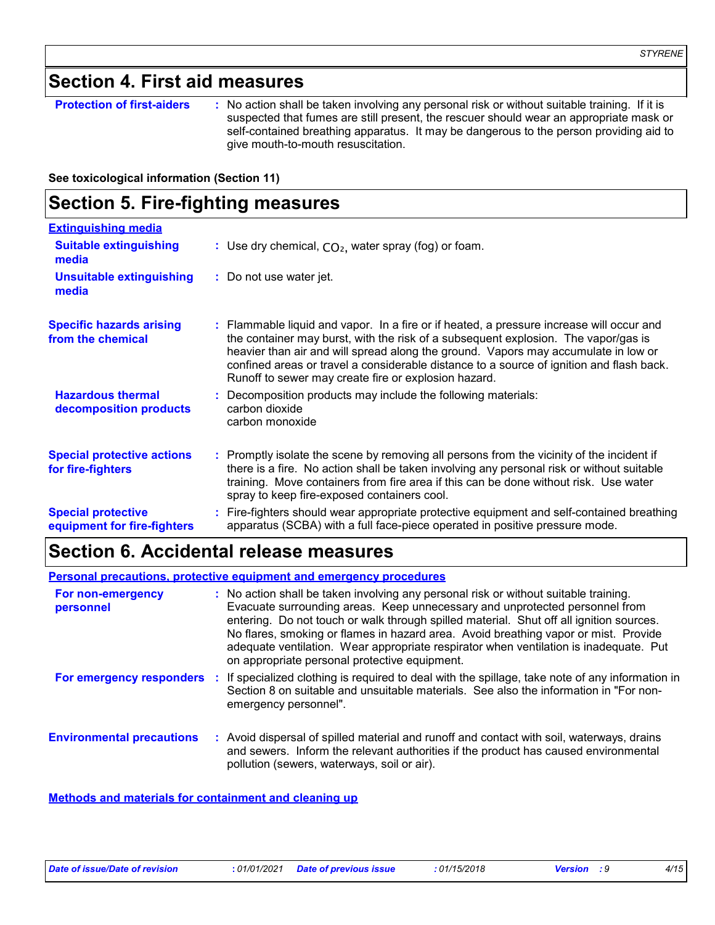### **Section 4. First aid measures**

**Protection of first-aiders** : No action shall be taken involving any personal risk or without suitable training. If it is suspected that fumes are still present, the rescuer should wear an appropriate mask or self-contained breathing apparatus. It may be dangerous to the person providing aid to give mouth-to-mouth resuscitation.

**See toxicological information (Section 11)**

### **Section 5. Fire-fighting measures**

| <b>Extinguishing media</b>                               |                                                                                                                                                                                                                                                                                                                                                                                                                          |
|----------------------------------------------------------|--------------------------------------------------------------------------------------------------------------------------------------------------------------------------------------------------------------------------------------------------------------------------------------------------------------------------------------------------------------------------------------------------------------------------|
| <b>Suitable extinguishing</b><br>media                   | : Use dry chemical, $CO2$ , water spray (fog) or foam.                                                                                                                                                                                                                                                                                                                                                                   |
| <b>Unsuitable extinguishing</b><br>media                 | : Do not use water jet.                                                                                                                                                                                                                                                                                                                                                                                                  |
| <b>Specific hazards arising</b><br>from the chemical     | : Flammable liquid and vapor. In a fire or if heated, a pressure increase will occur and<br>the container may burst, with the risk of a subsequent explosion. The vapor/gas is<br>heavier than air and will spread along the ground. Vapors may accumulate in low or<br>confined areas or travel a considerable distance to a source of ignition and flash back.<br>Runoff to sewer may create fire or explosion hazard. |
| <b>Hazardous thermal</b><br>decomposition products       | Decomposition products may include the following materials:<br>carbon dioxide<br>carbon monoxide                                                                                                                                                                                                                                                                                                                         |
| <b>Special protective actions</b><br>for fire-fighters   | : Promptly isolate the scene by removing all persons from the vicinity of the incident if<br>there is a fire. No action shall be taken involving any personal risk or without suitable<br>training. Move containers from fire area if this can be done without risk. Use water<br>spray to keep fire-exposed containers cool.                                                                                            |
| <b>Special protective</b><br>equipment for fire-fighters | : Fire-fighters should wear appropriate protective equipment and self-contained breathing<br>apparatus (SCBA) with a full face-piece operated in positive pressure mode.                                                                                                                                                                                                                                                 |

### **Section 6. Accidental release measures**

#### **Environmental precautions Personal precautions, protective equipment and emergency procedures :** Avoid dispersal of spilled material and runoff and contact with soil, waterways, drains **:** No action shall be taken involving any personal risk or without suitable training. Evacuate surrounding areas. Keep unnecessary and unprotected personnel from entering. Do not touch or walk through spilled material. Shut off all ignition sources. No flares, smoking or flames in hazard area. Avoid breathing vapor or mist. Provide adequate ventilation. Wear appropriate respirator when ventilation is inadequate. Put on appropriate personal protective equipment. and sewers. Inform the relevant authorities if the product has caused environmental pollution (sewers, waterways, soil or air). **For non-emergency personnel For emergency responders :** If specialized clothing is required to deal with the spillage, take note of any information in Section 8 on suitable and unsuitable materials. See also the information in "For nonemergency personnel".

**Methods and materials for containment and cleaning up**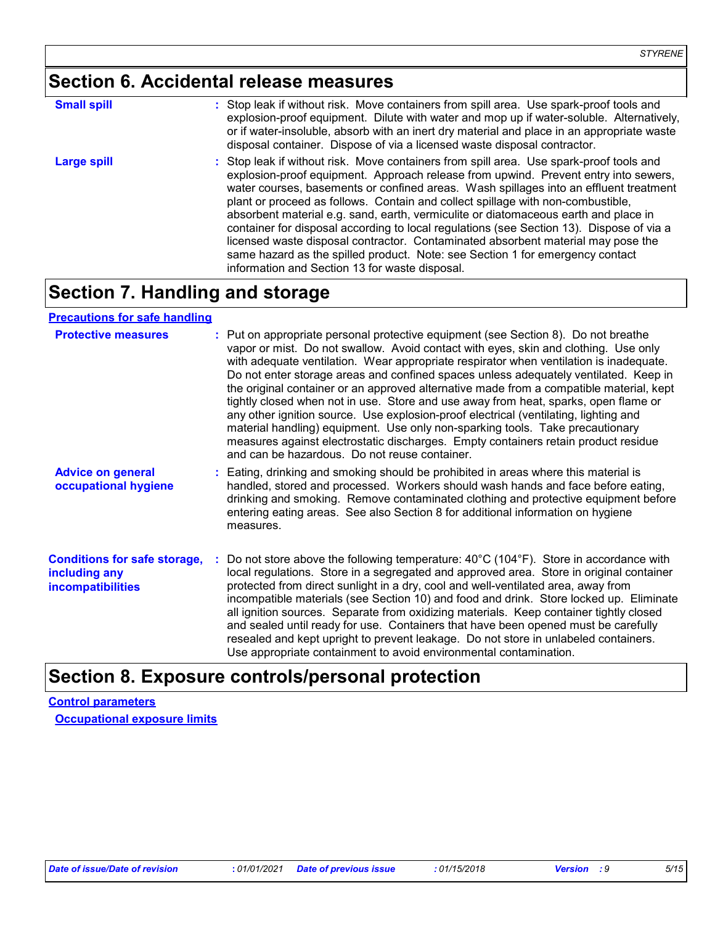# **Section 6. Accidental release measures**

| <b>Small spill</b> | : Stop leak if without risk. Move containers from spill area. Use spark-proof tools and<br>explosion-proof equipment. Dilute with water and mop up if water-soluble. Alternatively,<br>or if water-insoluble, absorb with an inert dry material and place in an appropriate waste                                                                                                                                                                                                                                                                                                                                                                                                                                                                                    |
|--------------------|----------------------------------------------------------------------------------------------------------------------------------------------------------------------------------------------------------------------------------------------------------------------------------------------------------------------------------------------------------------------------------------------------------------------------------------------------------------------------------------------------------------------------------------------------------------------------------------------------------------------------------------------------------------------------------------------------------------------------------------------------------------------|
|                    | disposal container. Dispose of via a licensed waste disposal contractor.                                                                                                                                                                                                                                                                                                                                                                                                                                                                                                                                                                                                                                                                                             |
| <b>Large spill</b> | : Stop leak if without risk. Move containers from spill area. Use spark-proof tools and<br>explosion-proof equipment. Approach release from upwind. Prevent entry into sewers,<br>water courses, basements or confined areas. Wash spillages into an effluent treatment<br>plant or proceed as follows. Contain and collect spillage with non-combustible,<br>absorbent material e.g. sand, earth, vermiculite or diatomaceous earth and place in<br>container for disposal according to local regulations (see Section 13). Dispose of via a<br>licensed waste disposal contractor. Contaminated absorbent material may pose the<br>same hazard as the spilled product. Note: see Section 1 for emergency contact<br>information and Section 13 for waste disposal. |

### **Section 7. Handling and storage**

**Precautions for safe handling**

| <b>Protective measures</b>                                                       | : Put on appropriate personal protective equipment (see Section 8). Do not breathe<br>vapor or mist. Do not swallow. Avoid contact with eyes, skin and clothing. Use only<br>with adequate ventilation. Wear appropriate respirator when ventilation is inadequate.<br>Do not enter storage areas and confined spaces unless adequately ventilated. Keep in<br>the original container or an approved alternative made from a compatible material, kept<br>tightly closed when not in use. Store and use away from heat, sparks, open flame or<br>any other ignition source. Use explosion-proof electrical (ventilating, lighting and<br>material handling) equipment. Use only non-sparking tools. Take precautionary<br>measures against electrostatic discharges. Empty containers retain product residue<br>and can be hazardous. Do not reuse container. |
|----------------------------------------------------------------------------------|---------------------------------------------------------------------------------------------------------------------------------------------------------------------------------------------------------------------------------------------------------------------------------------------------------------------------------------------------------------------------------------------------------------------------------------------------------------------------------------------------------------------------------------------------------------------------------------------------------------------------------------------------------------------------------------------------------------------------------------------------------------------------------------------------------------------------------------------------------------|
| <b>Advice on general</b><br>occupational hygiene                                 | : Eating, drinking and smoking should be prohibited in areas where this material is<br>handled, stored and processed. Workers should wash hands and face before eating,<br>drinking and smoking. Remove contaminated clothing and protective equipment before<br>entering eating areas. See also Section 8 for additional information on hygiene<br>measures.                                                                                                                                                                                                                                                                                                                                                                                                                                                                                                 |
| <b>Conditions for safe storage,</b><br>including any<br><b>incompatibilities</b> | Do not store above the following temperature: $40^{\circ}$ C (104 $^{\circ}$ F). Store in accordance with<br>local regulations. Store in a segregated and approved area. Store in original container<br>protected from direct sunlight in a dry, cool and well-ventilated area, away from<br>incompatible materials (see Section 10) and food and drink. Store locked up. Eliminate<br>all ignition sources. Separate from oxidizing materials. Keep container tightly closed<br>and sealed until ready for use. Containers that have been opened must be carefully<br>resealed and kept upright to prevent leakage. Do not store in unlabeled containers.<br>Use appropriate containment to avoid environmental contamination.                                                                                                                               |

### **Section 8. Exposure controls/personal protection**

**Control parameters Occupational exposure limits**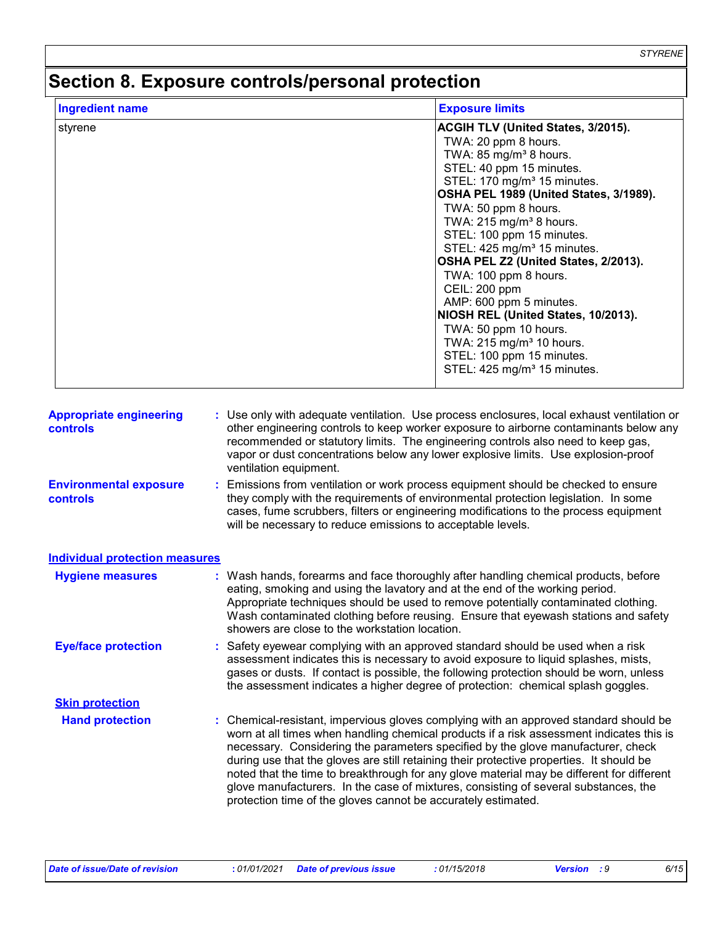*STYRENE*

# **Section 8. Exposure controls/personal protection**

| <b>Ingredient name</b>                            | <b>Exposure limits</b>                                                                                                                                                                                                                                                                                                                                                                                                                                                                                                                                                                                                                                |
|---------------------------------------------------|-------------------------------------------------------------------------------------------------------------------------------------------------------------------------------------------------------------------------------------------------------------------------------------------------------------------------------------------------------------------------------------------------------------------------------------------------------------------------------------------------------------------------------------------------------------------------------------------------------------------------------------------------------|
| styrene                                           | ACGIH TLV (United States, 3/2015).<br>TWA: 20 ppm 8 hours.<br>TWA: 85 mg/m <sup>3</sup> 8 hours.<br>STEL: 40 ppm 15 minutes.<br>STEL: 170 mg/m <sup>3</sup> 15 minutes.<br>OSHA PEL 1989 (United States, 3/1989).<br>TWA: 50 ppm 8 hours.<br>TWA: 215 mg/m <sup>3</sup> 8 hours.<br>STEL: 100 ppm 15 minutes.<br>STEL: 425 mg/m <sup>3</sup> 15 minutes.<br>OSHA PEL Z2 (United States, 2/2013).<br>TWA: 100 ppm 8 hours.<br>CEIL: 200 ppm<br>AMP: 600 ppm 5 minutes.<br>NIOSH REL (United States, 10/2013).<br>TWA: 50 ppm 10 hours.<br>TWA: 215 mg/m <sup>3</sup> 10 hours.<br>STEL: 100 ppm 15 minutes.<br>STEL: 425 mg/m <sup>3</sup> 15 minutes. |
| <b>Appropriate engineering</b><br><b>controls</b> | : Use only with adequate ventilation. Use process enclosures, local exhaust ventilation or<br>other engineering controls to keep worker exposure to airborne contaminants below any<br>recommended or statutory limits. The engineering controls also need to keep gas,<br>vapor or dust concentrations below any lower explosive limits. Use explosion-proof<br>ventilation equipment.                                                                                                                                                                                                                                                               |
| <b>Environmental exposure</b><br><b>controls</b>  | Emissions from ventilation or work process equipment should be checked to ensure<br>t.<br>they comply with the requirements of environmental protection legislation. In some<br>cases, fume scrubbers, filters or engineering modifications to the process equipment<br>will be necessary to reduce emissions to acceptable levels.                                                                                                                                                                                                                                                                                                                   |
| <b>Individual protection measures</b>             |                                                                                                                                                                                                                                                                                                                                                                                                                                                                                                                                                                                                                                                       |
| <b>Hygiene measures</b>                           | : Wash hands, forearms and face thoroughly after handling chemical products, before<br>eating, smoking and using the lavatory and at the end of the working period.<br>Appropriate techniques should be used to remove potentially contaminated clothing.<br>Wash contaminated clothing before reusing. Ensure that eyewash stations and safety<br>showers are close to the workstation location.                                                                                                                                                                                                                                                     |
| <b>Eye/face protection</b>                        | : Safety eyewear complying with an approved standard should be used when a risk<br>assessment indicates this is necessary to avoid exposure to liquid splashes, mists,<br>gases or dusts. If contact is possible, the following protection should be worn, unless<br>the assessment indicates a higher degree of protection: chemical splash goggles.                                                                                                                                                                                                                                                                                                 |
| <b>Skin protection</b>                            |                                                                                                                                                                                                                                                                                                                                                                                                                                                                                                                                                                                                                                                       |
| <b>Hand protection</b>                            | : Chemical-resistant, impervious gloves complying with an approved standard should be<br>worn at all times when handling chemical products if a risk assessment indicates this is<br>necessary. Considering the parameters specified by the glove manufacturer, check<br>during use that the gloves are still retaining their protective properties. It should be<br>noted that the time to breakthrough for any glove material may be different for different<br>glove manufacturers. In the case of mixtures, consisting of several substances, the<br>protection time of the gloves cannot be accurately estimated.                                |

*Date of issue/Date of revision* **:** *01/01/2021 Date of previous issue : 01/15/2018 Version : 9 6/15*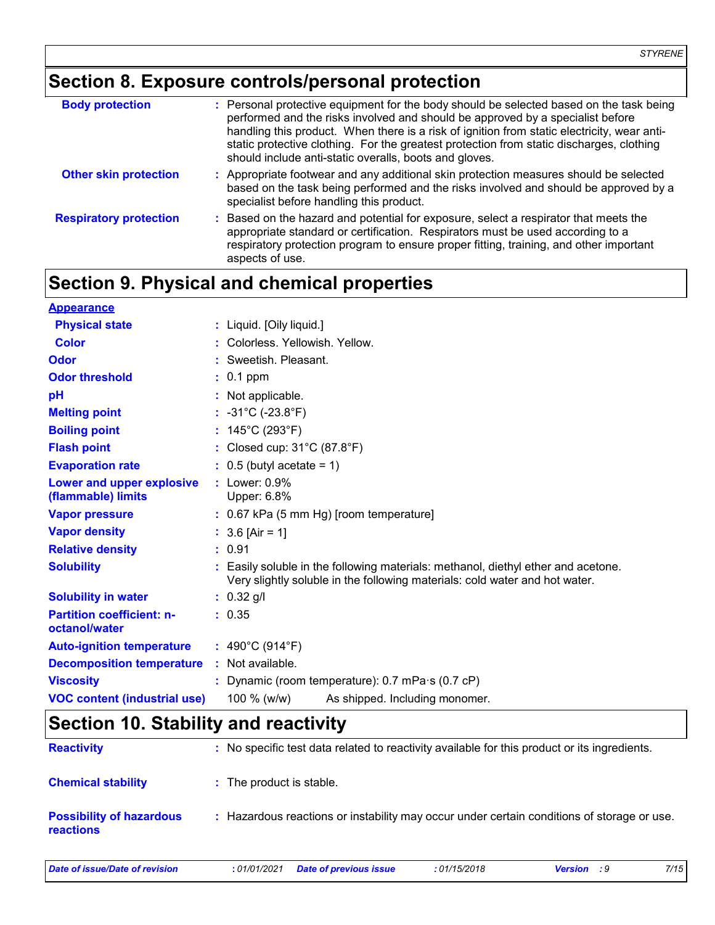# **Section 8. Exposure controls/personal protection**

| <b>Body protection</b>        | : Personal protective equipment for the body should be selected based on the task being<br>performed and the risks involved and should be approved by a specialist before<br>handling this product. When there is a risk of ignition from static electricity, wear anti-<br>static protective clothing. For the greatest protection from static discharges, clothing<br>should include anti-static overalls, boots and gloves. |
|-------------------------------|--------------------------------------------------------------------------------------------------------------------------------------------------------------------------------------------------------------------------------------------------------------------------------------------------------------------------------------------------------------------------------------------------------------------------------|
| <b>Other skin protection</b>  | : Appropriate footwear and any additional skin protection measures should be selected<br>based on the task being performed and the risks involved and should be approved by a<br>specialist before handling this product.                                                                                                                                                                                                      |
| <b>Respiratory protection</b> | : Based on the hazard and potential for exposure, select a respirator that meets the<br>appropriate standard or certification. Respirators must be used according to a<br>respiratory protection program to ensure proper fitting, training, and other important<br>aspects of use.                                                                                                                                            |

### **Section 9. Physical and chemical properties**

| <b>Appearance</b>                                 |                                                                                                                                                                  |  |  |  |  |  |
|---------------------------------------------------|------------------------------------------------------------------------------------------------------------------------------------------------------------------|--|--|--|--|--|
| <b>Physical state</b>                             | : Liquid. [Oily liquid.]                                                                                                                                         |  |  |  |  |  |
| <b>Color</b>                                      | : Colorless, Yellowish, Yellow.                                                                                                                                  |  |  |  |  |  |
| Odor                                              | : Sweetish, Pleasant,                                                                                                                                            |  |  |  |  |  |
| <b>Odor threshold</b>                             | $: 0.1$ ppm                                                                                                                                                      |  |  |  |  |  |
| pH                                                | : Not applicable.                                                                                                                                                |  |  |  |  |  |
| <b>Melting point</b>                              | : $-31^{\circ}$ C ( $-23.8^{\circ}$ F)                                                                                                                           |  |  |  |  |  |
| <b>Boiling point</b>                              | : $145^{\circ}$ C (293 $^{\circ}$ F)                                                                                                                             |  |  |  |  |  |
| <b>Flash point</b>                                | : Closed cup: $31^{\circ}$ C (87.8 $^{\circ}$ F)                                                                                                                 |  |  |  |  |  |
| <b>Evaporation rate</b>                           | $\therefore$ 0.5 (butyl acetate = 1)                                                                                                                             |  |  |  |  |  |
| Lower and upper explosive<br>(flammable) limits   | $:$ Lower: $0.9\%$<br>Upper: 6.8%                                                                                                                                |  |  |  |  |  |
| <b>Vapor pressure</b>                             | $: 0.67$ kPa (5 mm Hg) [room temperature]                                                                                                                        |  |  |  |  |  |
| <b>Vapor density</b>                              | : $3.6$ [Air = 1]                                                                                                                                                |  |  |  |  |  |
| <b>Relative density</b>                           | : 0.91                                                                                                                                                           |  |  |  |  |  |
| <b>Solubility</b>                                 | : Easily soluble in the following materials: methanol, diethyl ether and acetone.<br>Very slightly soluble in the following materials: cold water and hot water. |  |  |  |  |  |
| <b>Solubility in water</b>                        | $: 0.32$ g/l                                                                                                                                                     |  |  |  |  |  |
| <b>Partition coefficient: n-</b><br>octanol/water | : 0.35                                                                                                                                                           |  |  |  |  |  |
| <b>Auto-ignition temperature</b>                  | : $490^{\circ}$ C (914 $^{\circ}$ F)                                                                                                                             |  |  |  |  |  |
| <b>Decomposition temperature</b>                  | : Not available.                                                                                                                                                 |  |  |  |  |  |
| <b>Viscosity</b>                                  | : Dynamic (room temperature): 0.7 mPa·s (0.7 cP)                                                                                                                 |  |  |  |  |  |
| <b>VOC content (industrial use)</b>               | 100 $% (w/w)$<br>As shipped. Including monomer.                                                                                                                  |  |  |  |  |  |

# **Section 10. Stability and reactivity**

| <b>Reactivity</b>                            | : No specific test data related to reactivity available for this product or its ingredients. |
|----------------------------------------------|----------------------------------------------------------------------------------------------|
| <b>Chemical stability</b>                    | : The product is stable.                                                                     |
| <b>Possibility of hazardous</b><br>reactions | Hazardous reactions or instability may occur under certain conditions of storage or use.     |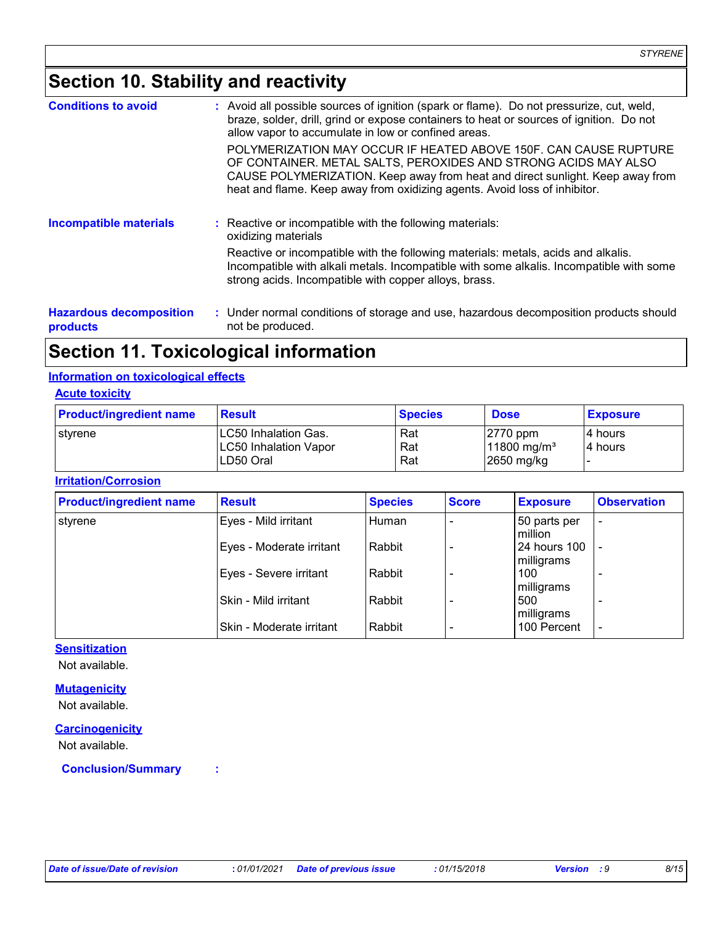# **Section 10. Stability and reactivity**

| <b>Conditions to avoid</b>                 |  | : Avoid all possible sources of ignition (spark or flame). Do not pressurize, cut, weld,<br>braze, solder, drill, grind or expose containers to heat or sources of ignition. Do not<br>allow vapor to accumulate in low or confined areas.                                                       |
|--------------------------------------------|--|--------------------------------------------------------------------------------------------------------------------------------------------------------------------------------------------------------------------------------------------------------------------------------------------------|
|                                            |  | POLYMERIZATION MAY OCCUR IF HEATED ABOVE 150F. CAN CAUSE RUPTURE<br>OF CONTAINER. METAL SALTS, PEROXIDES AND STRONG ACIDS MAY ALSO<br>CAUSE POLYMERIZATION. Keep away from heat and direct sunlight. Keep away from<br>heat and flame. Keep away from oxidizing agents. Avoid loss of inhibitor. |
| <b>Incompatible materials</b>              |  | : Reactive or incompatible with the following materials:<br>oxidizing materials                                                                                                                                                                                                                  |
|                                            |  | Reactive or incompatible with the following materials: metals, acids and alkalis.<br>Incompatible with alkali metals. Incompatible with some alkalis. Incompatible with some<br>strong acids. Incompatible with copper alloys, brass.                                                            |
| <b>Hazardous decomposition</b><br>products |  | : Under normal conditions of storage and use, hazardous decomposition products should<br>not be produced.                                                                                                                                                                                        |

### **Section 11. Toxicological information**

#### **Information on toxicological effects**

#### **Acute toxicity**

| <b>Product/ingredient name</b> | <b>Result</b>                                                      | <b>Species</b>    | <b>Dose</b>                                          | <b>Exposure</b>     |
|--------------------------------|--------------------------------------------------------------------|-------------------|------------------------------------------------------|---------------------|
| styrene                        | LC50 Inhalation Gas.<br><b>LC50 Inhalation Vapor</b><br>ILD50 Oral | Rat<br>Rat<br>Rat | $ 2770$ ppm<br>11800 mg/m <sup>3</sup><br>2650 mg/kg | 14 hours<br>4 hours |

#### **Irritation/Corrosion**

| <b>Product/ingredient name</b> | <b>Result</b>            | <b>Species</b> | <b>Score</b> | <b>Exposure</b>                   | <b>Observation</b>       |
|--------------------------------|--------------------------|----------------|--------------|-----------------------------------|--------------------------|
| styrene                        | Eyes - Mild irritant     | Human          |              | 50 parts per<br>million           | $\overline{\phantom{a}}$ |
|                                | Eyes - Moderate irritant | Rabbit         |              | <b>24 hours 100</b><br>milligrams | $\overline{\phantom{a}}$ |
|                                | Eyes - Severe irritant   | Rabbit         |              | 100<br>milligrams                 |                          |
|                                | Skin - Mild irritant     | Rabbit         |              | 500<br>milligrams                 | $\overline{\phantom{0}}$ |
|                                | Skin - Moderate irritant | Rabbit         |              | 100 Percent                       | $\overline{\phantom{a}}$ |

#### **Sensitization**

Not available.

#### **Mutagenicity**

Not available.

#### **Carcinogenicity**

Not available.

**Conclusion/Summary :**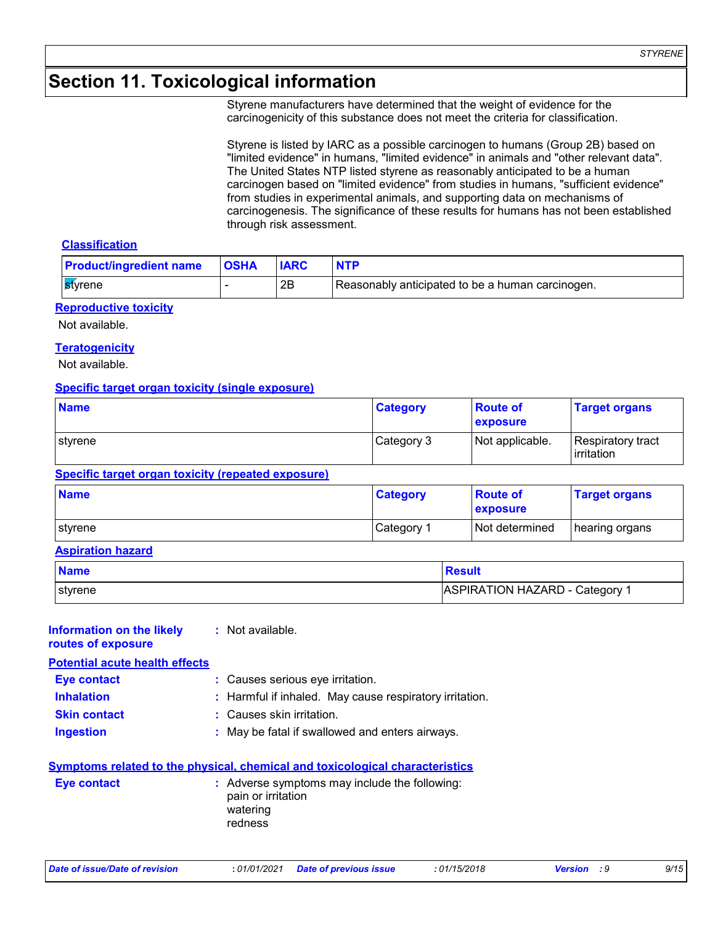# **Section 11. Toxicological information**

Styrene manufacturers have determined that the weight of evidence for the carcinogenicity of this substance does not meet the criteria for classification.

Styrene is listed by IARC as a possible carcinogen to humans (Group 2B) based on "limited evidence" in humans, "limited evidence" in animals and "other relevant data". The United States NTP listed styrene as reasonably anticipated to be a human carcinogen based on "limited evidence" from studies in humans, "sufficient evidence" from studies in experimental animals, and supporting data on mechanisms of carcinogenesis. The significance of these results for humans has not been established through risk assessment.

#### **Classification**

| <b>Product/ingredient name</b> | <b>OSHA</b> |    | <b>NTP</b>                                       |
|--------------------------------|-------------|----|--------------------------------------------------|
| ⊪ <mark>st</mark> yrene        |             | 2B | Reasonably anticipated to be a human carcinogen. |

#### **Reproductive toxicity**

Not available.

#### **Teratogenicity**

Not available.

#### **Specific target organ toxicity (single exposure)**

| <b>Name</b>      | <b>Category</b> | <b>Route of</b><br>exposure | <b>Target organs</b>            |
|------------------|-----------------|-----------------------------|---------------------------------|
| <b>I</b> styrene | Category 3      | Not applicable.             | Respiratory tract<br>irritation |

#### **Specific target organ toxicity (repeated exposure)**

| <b>Name</b>     | <b>Category</b>       | <b>Route of</b><br>exposure | <b>Target organs</b> |
|-----------------|-----------------------|-----------------------------|----------------------|
| <b>∣stvrene</b> | Category <sup>2</sup> | Not determined              | hearing organs       |

#### **Aspiration hazard**

| <b>Name</b> | Result                         |
|-------------|--------------------------------|
| styrene     | ASPIRATION HAZARD - Category 1 |

| : Not available.                                        |
|---------------------------------------------------------|
|                                                         |
| : Causes serious eye irritation.                        |
| : Harmful if inhaled. May cause respiratory irritation. |
| : Causes skin irritation.                               |
| : May be fatal if swallowed and enters airways.         |
|                                                         |

#### **Symptoms related to the physical, chemical and toxicological characteristics**

| <b>Eve contact</b> | : Adverse symptoms may include the following:<br>pain or irritation<br>watering<br>redness |
|--------------------|--------------------------------------------------------------------------------------------|
|                    |                                                                                            |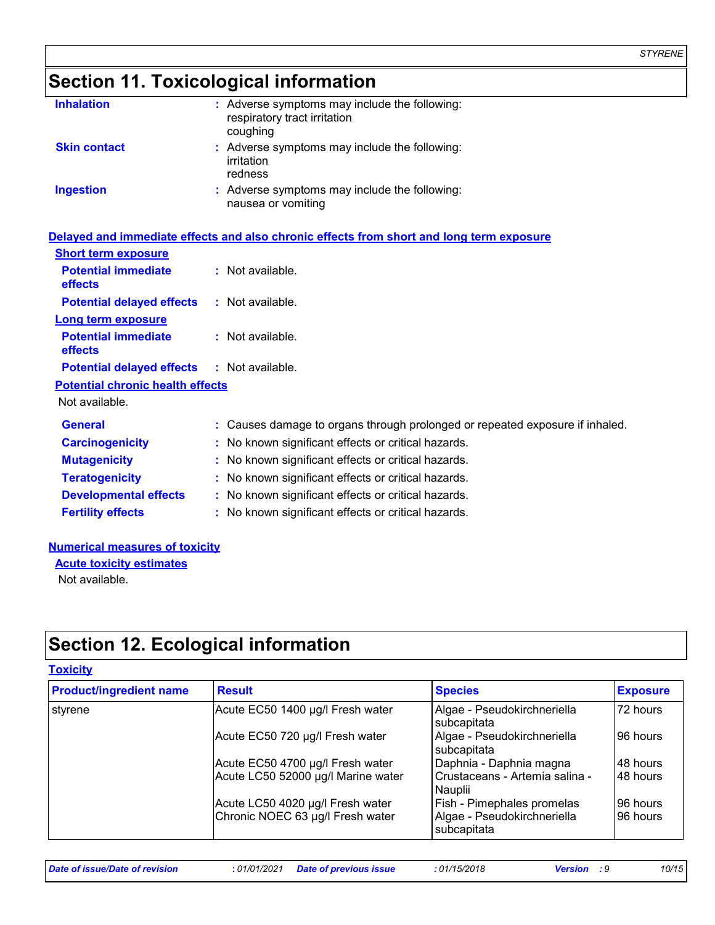# **Section 11. Toxicological information**

| <b>Inhalation</b>   | : Adverse symptoms may include the following:<br>respiratory tract irritation<br>coughing |
|---------------------|-------------------------------------------------------------------------------------------|
| <b>Skin contact</b> | : Adverse symptoms may include the following:<br>irritation<br>redness                    |
| <b>Ingestion</b>    | : Adverse symptoms may include the following:<br>nausea or vomiting                       |

|                                              | Delayed and immediate effects and also chronic effects from short and long term exposure |
|----------------------------------------------|------------------------------------------------------------------------------------------|
| <b>Short term exposure</b>                   |                                                                                          |
| <b>Potential immediate</b><br><b>effects</b> | : Not available.                                                                         |
| <b>Potential delayed effects</b>             | : Not available.                                                                         |
| Long term exposure                           |                                                                                          |
| <b>Potential immediate</b><br><b>effects</b> | : Not available.                                                                         |
| <b>Potential delayed effects</b>             | : Not available.                                                                         |
| <b>Potential chronic health effects</b>      |                                                                                          |
| Not available.                               |                                                                                          |
| <b>General</b>                               | : Causes damage to organs through prolonged or repeated exposure if inhaled.             |
| <b>Carcinogenicity</b>                       | : No known significant effects or critical hazards.                                      |
| <b>Mutagenicity</b>                          | : No known significant effects or critical hazards.                                      |
| <b>Teratogenicity</b>                        | : No known significant effects or critical hazards.                                      |
| <b>Developmental effects</b>                 | : No known significant effects or critical hazards.                                      |
| <b>Fertility effects</b>                     | : No known significant effects or critical hazards.                                      |

#### **Numerical measures of toxicity**

**Acute toxicity estimates**

Not available.

## **Section 12. Ecological information**

#### **Toxicity**

| <b>Product/ingredient name</b> | <b>Result</b>                      | <b>Species</b>                              | <b>Exposure</b> |
|--------------------------------|------------------------------------|---------------------------------------------|-----------------|
| styrene                        | Acute EC50 1400 µg/l Fresh water   | Algae - Pseudokirchneriella<br>subcapitata  | 72 hours        |
|                                | Acute EC50 720 µg/l Fresh water    | Algae - Pseudokirchneriella<br>subcapitata  | 96 hours        |
|                                | Acute EC50 4700 µg/l Fresh water   | Daphnia - Daphnia magna                     | 48 hours        |
|                                | Acute LC50 52000 µg/l Marine water | Crustaceans - Artemia salina -<br>l Nauplii | 48 hours        |
|                                | Acute LC50 4020 µg/l Fresh water   | Fish - Pimephales promelas                  | 96 hours        |
|                                | Chronic NOEC 63 µg/l Fresh water   | Algae - Pseudokirchneriella<br>subcapitata  | 96 hours        |

*Date of issue/Date of revision* **:** *01/01/2021 Date of previous issue : 01/15/2018 Version : 9 10/15*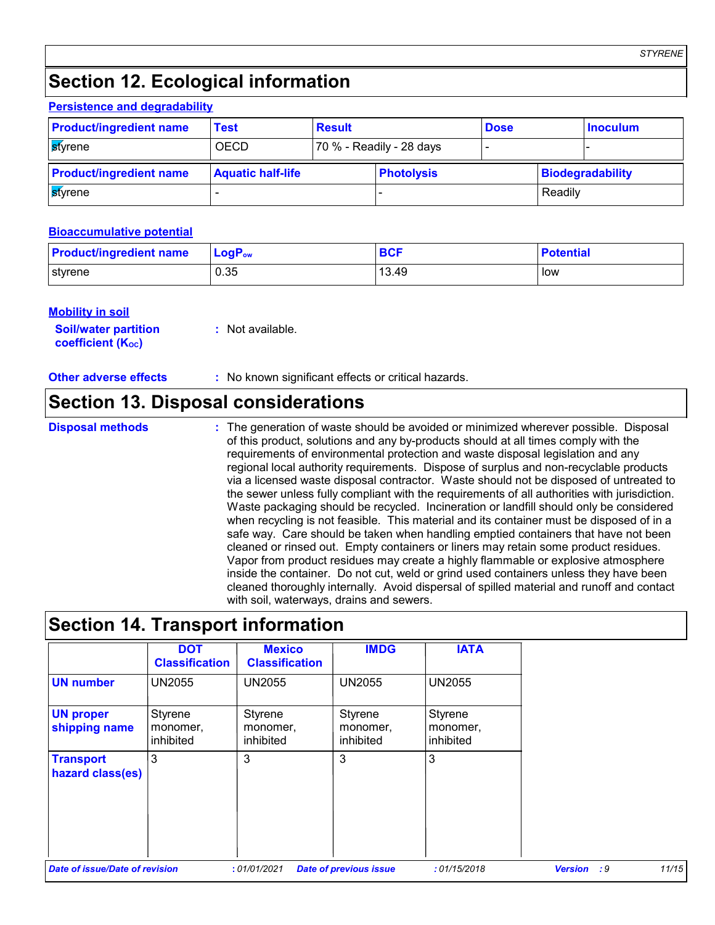*STYRENE*

# **Section 12. Ecological information**

#### **Persistence and degradability**

| <b>Product/ingredient name</b> | Test                     | <b>Result</b> |                          | <b>Dose</b> |         | <b>Inoculum</b>  |
|--------------------------------|--------------------------|---------------|--------------------------|-------------|---------|------------------|
| styrene                        | <b>OECD</b>              |               | 70 % - Readily - 28 days |             |         |                  |
| <b>Product/ingredient name</b> | <b>Aquatic half-life</b> |               | <b>Photolysis</b>        |             |         | Biodegradability |
| styrene                        |                          |               |                          |             | Readily |                  |

#### **Bioaccumulative potential**

| <b>Product/ingredient name</b> | $LogP_{ow}$ | <b>BCF</b> | <b>Potential</b> |
|--------------------------------|-------------|------------|------------------|
| styrene                        | 0.35        | 13.49      | low              |

#### **Mobility in soil**

| <b>Soil/water partition</b> | $:$ Not available. |
|-----------------------------|--------------------|
| <b>coefficient (Koc)</b>    |                    |

#### **Other adverse effects** : No known significant effects or critical hazards.

### **Section 13. Disposal considerations**

**Disposal methods :**

The generation of waste should be avoided or minimized wherever possible. Disposal of this product, solutions and any by-products should at all times comply with the requirements of environmental protection and waste disposal legislation and any regional local authority requirements. Dispose of surplus and non-recyclable products via a licensed waste disposal contractor. Waste should not be disposed of untreated to the sewer unless fully compliant with the requirements of all authorities with jurisdiction. Waste packaging should be recycled. Incineration or landfill should only be considered when recycling is not feasible. This material and its container must be disposed of in a safe way. Care should be taken when handling emptied containers that have not been cleaned or rinsed out. Empty containers or liners may retain some product residues. Vapor from product residues may create a highly flammable or explosive atmosphere inside the container. Do not cut, weld or grind used containers unless they have been cleaned thoroughly internally. Avoid dispersal of spilled material and runoff and contact with soil, waterways, drains and sewers.

### **Section 14. Transport information**

|                                      | <b>DOT</b><br><b>Classification</b> | <b>Mexico</b><br><b>Classification</b> | <b>IMDG</b>                      | <b>IATA</b>                      |                      |       |
|--------------------------------------|-------------------------------------|----------------------------------------|----------------------------------|----------------------------------|----------------------|-------|
| <b>UN number</b>                     | <b>UN2055</b>                       | <b>UN2055</b>                          | <b>UN2055</b>                    | <b>UN2055</b>                    |                      |       |
| <b>UN proper</b><br>shipping name    | Styrene<br>monomer,<br>inhibited    | Styrene<br>monomer,<br>inhibited       | Styrene<br>monomer,<br>inhibited | Styrene<br>monomer,<br>inhibited |                      |       |
| <b>Transport</b><br>hazard class(es) | 3                                   | 3                                      | 3                                | 3                                |                      |       |
| Date of issue/Date of revision       |                                     | :01/01/2021                            | <b>Date of previous issue</b>    | :01/15/2018                      | :9<br><b>Version</b> | 11/15 |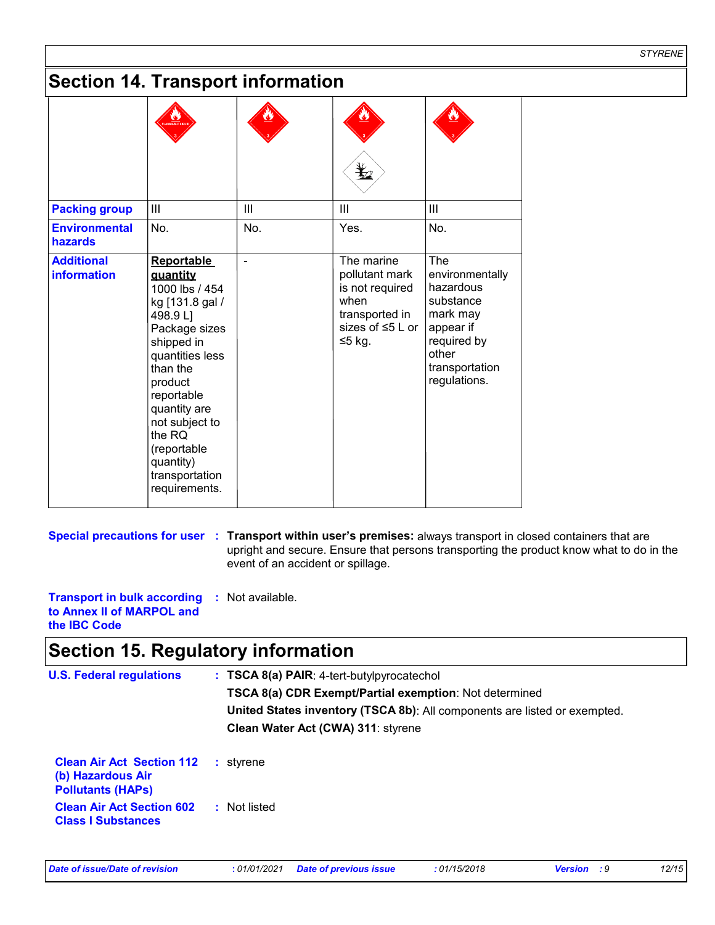# **Section 14. Transport information**

| <b>Packing group</b>                    | III                                                                                                                                                                                                                                                                              | Ш   | Ш                                                                                                             | Ш                                                                                                                                          |
|-----------------------------------------|----------------------------------------------------------------------------------------------------------------------------------------------------------------------------------------------------------------------------------------------------------------------------------|-----|---------------------------------------------------------------------------------------------------------------|--------------------------------------------------------------------------------------------------------------------------------------------|
| <b>Environmental</b><br>hazards         | No.                                                                                                                                                                                                                                                                              | No. | Yes.                                                                                                          | No.                                                                                                                                        |
| <b>Additional</b><br><b>information</b> | <b>Reportable</b><br>quantity<br>1000 lbs / 454<br>kg [131.8 gal /<br>498.9 L1<br>Package sizes<br>shipped in<br>quantities less<br>than the<br>product<br>reportable<br>quantity are<br>not subject to<br>the RQ<br>(reportable<br>quantity)<br>transportation<br>requirements. |     | The marine<br>pollutant mark<br>is not required<br>when<br>transported in<br>sizes of $\leq 5$ L or<br>≤5 kg. | <b>The</b><br>environmentally<br>hazardous<br>substance<br>mark may<br>appear if<br>required by<br>other<br>transportation<br>regulations. |

**Special precautions for user** : Transport within user's premises: always transport in closed containers that are upright and secure. Ensure that persons transporting the product know what to do in the event of an accident or spillage.

**Transport in bulk according :** Not available. **to Annex II of MARPOL and the IBC Code**

### **Section 15. Regulatory information**

| <b>U.S. Federal regulations</b>                                                   | $: TSCA 8(a) PAIR: 4-tert-butylpyrocatechol$<br><b>TSCA 8(a) CDR Exempt/Partial exemption: Not determined</b><br>United States inventory (TSCA 8b): All components are listed or exempted.<br>Clean Water Act (CWA) 311: styrene |
|-----------------------------------------------------------------------------------|----------------------------------------------------------------------------------------------------------------------------------------------------------------------------------------------------------------------------------|
| <b>Clean Air Act Section 112</b><br>(b) Hazardous Air<br><b>Pollutants (HAPs)</b> | : styrene                                                                                                                                                                                                                        |
| <b>Clean Air Act Section 602</b><br><b>Class I Substances</b>                     | : Not listed                                                                                                                                                                                                                     |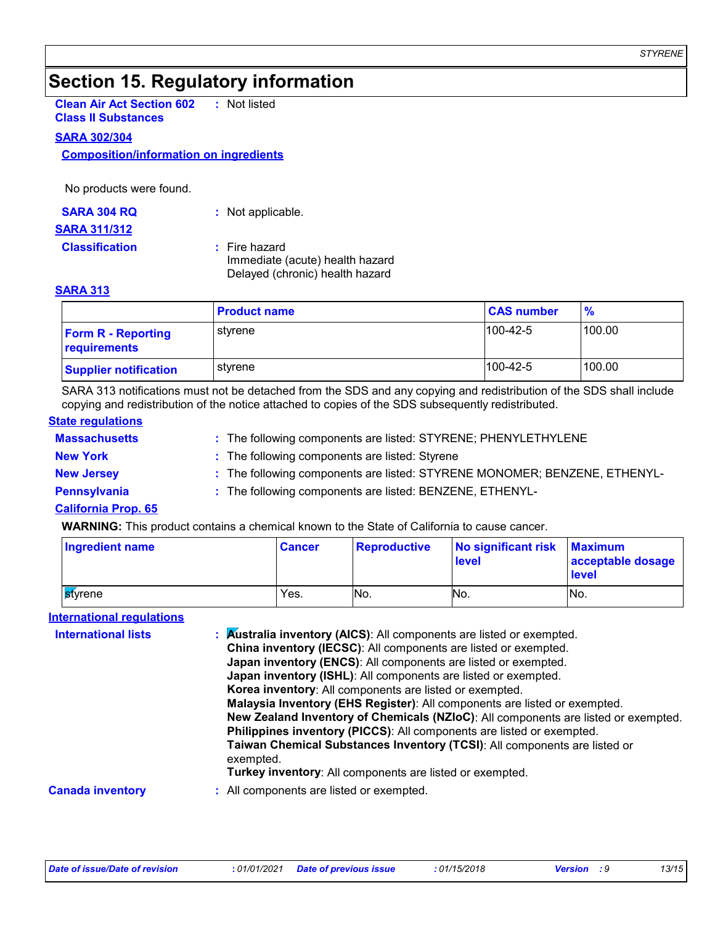# **Section 15. Regulatory information**

**Clean Air Act Section 602 Class II Substances :** Not listed

#### **SARA 302/304**

**Composition/information on ingredients**

No products were found.

| <b>SARA 304 RQ</b>    | : Not applicable.                                                                   |
|-----------------------|-------------------------------------------------------------------------------------|
| <b>SARA 311/312</b>   |                                                                                     |
| <b>Classification</b> | : Fire hazard<br>Immediate (acute) health hazard<br>Delayed (chronic) health hazard |

#### **SARA 313**

|                                           | <b>Product name</b> | <b>CAS number</b> | $\frac{9}{6}$ |
|-------------------------------------------|---------------------|-------------------|---------------|
| <b>Form R - Reporting</b><br>requirements | styrene             | $100-42-5$        | 100.00        |
| <b>Supplier notification</b>              | stvrene             | $100-42-5$        | 100.00        |

SARA 313 notifications must not be detached from the SDS and any copying and redistribution of the SDS shall include copying and redistribution of the notice attached to copies of the SDS subsequently redistributed.

#### **State regulations**

| <b>Massachusetts</b>       | : The following components are listed: STYRENE; PHENYLETHYLENE            |
|----------------------------|---------------------------------------------------------------------------|
| <b>New York</b>            | : The following components are listed: Styrene                            |
| <b>New Jersey</b>          | : The following components are listed: STYRENE MONOMER; BENZENE, ETHENYL- |
| Pennsylvania               | : The following components are listed: BENZENE, ETHENYL-                  |
| <b>California Prop. 65</b> |                                                                           |

#### **WARNING:** This product contains a chemical known to the State of California to cause cancer.

| <b>Ingredient name</b> | <b>Cancer</b> | <b>Reproductive</b> | No significant risk<br><b>level</b> | <b>Maximum</b><br>acceptable dosage<br><b>level</b> |
|------------------------|---------------|---------------------|-------------------------------------|-----------------------------------------------------|
| <b>S</b> tvrene        | Yes.          | No.                 | No.                                 | No.                                                 |

#### **International regulations**

| <b>International lists</b> | : Australia inventory (AICS): All components are listed or exempted.<br>China inventory (IECSC): All components are listed or exempted.<br>Japan inventory (ENCS): All components are listed or exempted.<br><b>Japan inventory (ISHL):</b> All components are listed or exempted.<br>Korea inventory: All components are listed or exempted.<br>Malaysia Inventory (EHS Register): All components are listed or exempted.<br>New Zealand Inventory of Chemicals (NZIoC): All components are listed or exempted.<br>Philippines inventory (PICCS): All components are listed or exempted.<br>Taiwan Chemical Substances Inventory (TCSI): All components are listed or<br>exempted.<br>Turkey inventory: All components are listed or exempted. |
|----------------------------|-------------------------------------------------------------------------------------------------------------------------------------------------------------------------------------------------------------------------------------------------------------------------------------------------------------------------------------------------------------------------------------------------------------------------------------------------------------------------------------------------------------------------------------------------------------------------------------------------------------------------------------------------------------------------------------------------------------------------------------------------|
| <b>Canada inventory</b>    | : All components are listed or exempted.                                                                                                                                                                                                                                                                                                                                                                                                                                                                                                                                                                                                                                                                                                        |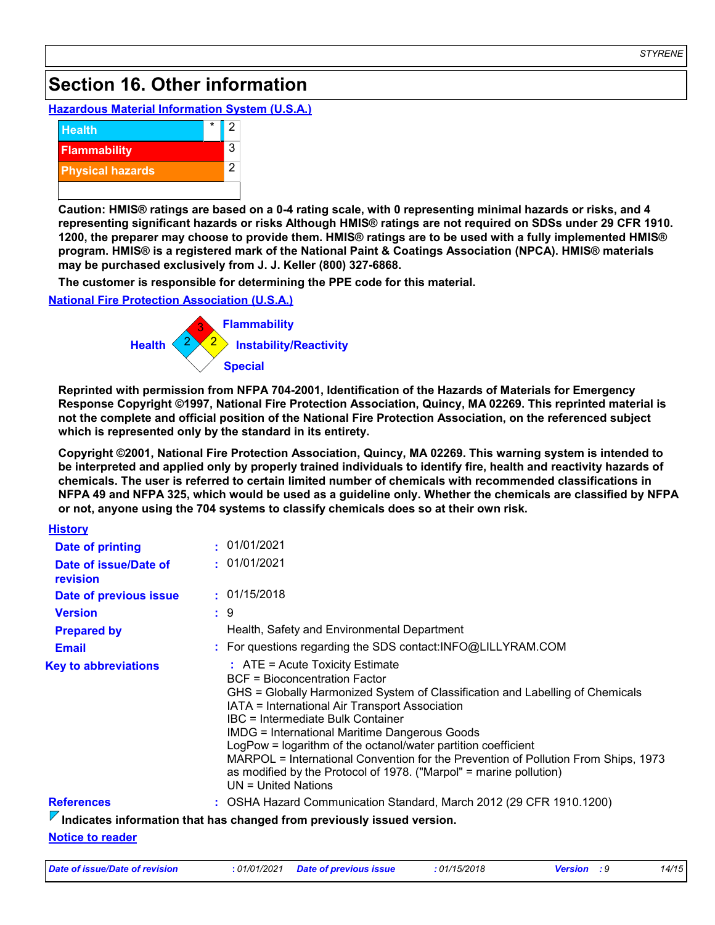# **Section 16. Other information**

#### **Hazardous Material Information System (U.S.A.)**



**Caution: HMIS® ratings are based on a 0-4 rating scale, with 0 representing minimal hazards or risks, and 4 representing significant hazards or risks Although HMIS® ratings are not required on SDSs under 29 CFR 1910. 1200, the preparer may choose to provide them. HMIS® ratings are to be used with a fully implemented HMIS® program. HMIS® is a registered mark of the National Paint & Coatings Association (NPCA). HMIS® materials may be purchased exclusively from J. J. Keller (800) 327-6868.**

**The customer is responsible for determining the PPE code for this material.**

#### **National Fire Protection Association (U.S.A.)**



**Reprinted with permission from NFPA 704-2001, Identification of the Hazards of Materials for Emergency Response Copyright ©1997, National Fire Protection Association, Quincy, MA 02269. This reprinted material is not the complete and official position of the National Fire Protection Association, on the referenced subject which is represented only by the standard in its entirety.**

**Copyright ©2001, National Fire Protection Association, Quincy, MA 02269. This warning system is intended to be interpreted and applied only by properly trained individuals to identify fire, health and reactivity hazards of chemicals. The user is referred to certain limited number of chemicals with recommended classifications in NFPA 49 and NFPA 325, which would be used as a guideline only. Whether the chemicals are classified by NFPA or not, anyone using the 704 systems to classify chemicals does so at their own risk.**

| <b>History</b>                    |                                                                                                                                                                                                                                                                                                                                                                                                                                                                                                                                                                 |
|-----------------------------------|-----------------------------------------------------------------------------------------------------------------------------------------------------------------------------------------------------------------------------------------------------------------------------------------------------------------------------------------------------------------------------------------------------------------------------------------------------------------------------------------------------------------------------------------------------------------|
| <b>Date of printing</b>           | : 01/01/2021                                                                                                                                                                                                                                                                                                                                                                                                                                                                                                                                                    |
| Date of issue/Date of<br>revision | : 01/01/2021                                                                                                                                                                                                                                                                                                                                                                                                                                                                                                                                                    |
| Date of previous issue            | : 01/15/2018                                                                                                                                                                                                                                                                                                                                                                                                                                                                                                                                                    |
| <b>Version</b>                    | : 9                                                                                                                                                                                                                                                                                                                                                                                                                                                                                                                                                             |
| <b>Prepared by</b>                | Health, Safety and Environmental Department                                                                                                                                                                                                                                                                                                                                                                                                                                                                                                                     |
| <b>Email</b>                      | : For questions regarding the SDS contact:INFO@LILLYRAM.COM                                                                                                                                                                                                                                                                                                                                                                                                                                                                                                     |
| <b>Key to abbreviations</b>       | $:$ ATE = Acute Toxicity Estimate<br><b>BCF = Bioconcentration Factor</b><br>GHS = Globally Harmonized System of Classification and Labelling of Chemicals<br>IATA = International Air Transport Association<br>IBC = Intermediate Bulk Container<br><b>IMDG = International Maritime Dangerous Goods</b><br>LogPow = logarithm of the octanol/water partition coefficient<br>MARPOL = International Convention for the Prevention of Pollution From Ships, 1973<br>as modified by the Protocol of 1978. ("Marpol" = marine pollution)<br>$UN = United Nations$ |
| <b>References</b>                 | : OSHA Hazard Communication Standard, March 2012 (29 CFR 1910.1200)                                                                                                                                                                                                                                                                                                                                                                                                                                                                                             |
|                                   | $\overline{V}$ Indicates information that has changed from previously issued version.                                                                                                                                                                                                                                                                                                                                                                                                                                                                           |
| Alla Allana (Alama alana alana)   |                                                                                                                                                                                                                                                                                                                                                                                                                                                                                                                                                                 |

**Notice to reader**

| Date of issue/Date of revision | : 01/01/2021 Date of previous issue | : 01/15/2018 | <b>Version</b> : 9 | 14/15 |
|--------------------------------|-------------------------------------|--------------|--------------------|-------|
|--------------------------------|-------------------------------------|--------------|--------------------|-------|